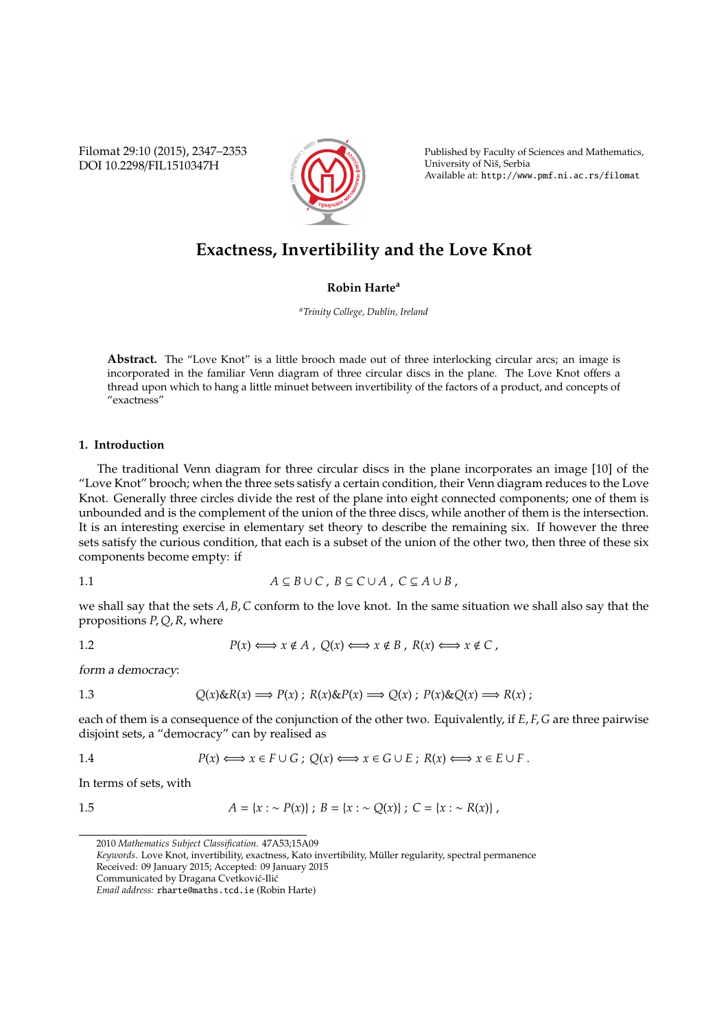Filomat 29:10 (2015), 2347–2353 DOI 10.2298/FIL1510347H



Published by Faculty of Sciences and Mathematics, University of Niš, Serbia Available at: http://www.pmf.ni.ac.rs/filomat

# **Exactness, Invertibility and the Love Knot**

## **Robin Harte<sup>a</sup>**

*<sup>a</sup>Trinity College, Dublin, Ireland*

**Abstract.** The "Love Knot" is a little brooch made out of three interlocking circular arcs; an image is incorporated in the familiar Venn diagram of three circular discs in the plane. The Love Knot offers a thread upon which to hang a little minuet between invertibility of the factors of a product, and concepts of "exactness"

## **1. Introduction**

The traditional Venn diagram for three circular discs in the plane incorporates an image [10] of the "Love Knot" brooch; when the three sets satisfy a certain condition, their Venn diagram reduces to the Love Knot. Generally three circles divide the rest of the plane into eight connected components; one of them is unbounded and is the complement of the union of the three discs, while another of them is the intersection. It is an interesting exercise in elementary set theory to describe the remaining six. If however the three sets satisfy the curious condition, that each is a subset of the union of the other two, then three of these six components become empty: if

1.1 
$$
A \subseteq B \cup C
$$
,  $B \subseteq C \cup A$ ,  $C \subseteq A \cup B$ ,

we shall say that the sets *A*, *B*, *C* conform to the love knot. In the same situation we shall also say that the propositions *P*, *Q*, *R*, where

1.2 
$$
P(x) \leftrightarrow x \notin A
$$
,  $Q(x) \leftrightarrow x \notin B$ ,  $R(x) \leftrightarrow x \notin C$ ,

form a democracy:

1.3 
$$
Q(x) \& R(x) \Longrightarrow P(x) \; ; \; R(x) \& P(x) \Longrightarrow Q(x) \; ; \; P(x) \& Q(x) \Longrightarrow R(x) \; ;
$$

each of them is a consequence of the conjunction of the other two. Equivalently, if *E*, *F*, *G* are three pairwise disjoint sets, a "democracy" can by realised as

1.4 
$$
P(x) \leftrightarrow x \in F \cup G
$$
;  $Q(x) \leftrightarrow x \in G \cup E$ ;  $R(x) \leftrightarrow x \in E \cup F$ .

In terms of sets, with

1.5 
$$
A = \{x : \sim P(x)\};\ B = \{x : \sim Q(x)\};\ C = \{x : \sim R(x)\}\,
$$

<sup>2010</sup> *Mathematics Subject Classification*. 47A53;15A09

Keywords. Love Knot, invertibility, exactness, Kato invertibility, Müller regularity, spectral permanence

Received: 09 January 2015; Accepted: 09 January 2015

Communicated by Dragana Cvetković-Ilić

*Email address:* rharte@maths.tcd.ie (Robin Harte)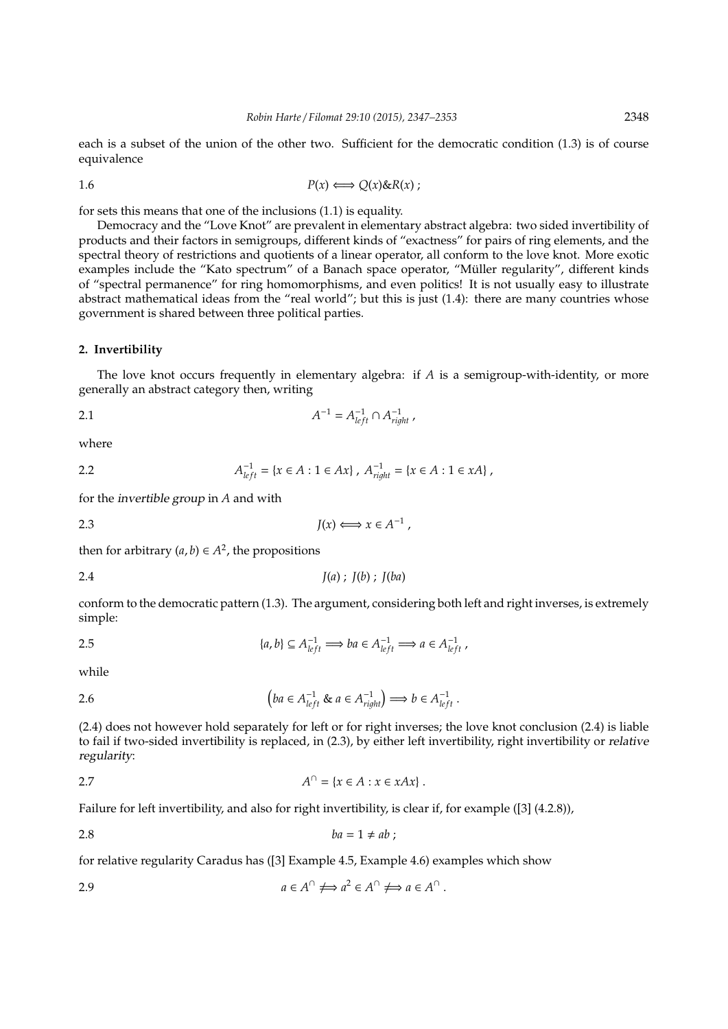each is a subset of the union of the other two. Sufficient for the democratic condition (1.3) is of course equivalence

$$
P(x) \Longleftrightarrow Q(x) \& R(x) ;
$$

for sets this means that one of the inclusions (1.1) is equality.

Democracy and the "Love Knot" are prevalent in elementary abstract algebra: two sided invertibility of products and their factors in semigroups, different kinds of "exactness" for pairs of ring elements, and the spectral theory of restrictions and quotients of a linear operator, all conform to the love knot. More exotic examples include the "Kato spectrum" of a Banach space operator, "Müller regularity", different kinds of "spectral permanence" for ring homomorphisms, and even politics! It is not usually easy to illustrate abstract mathematical ideas from the "real world"; but this is just (1.4): there are many countries whose government is shared between three political parties.

#### **2. Invertibility**

The love knot occurs frequently in elementary algebra: if *A* is a semigroup-with-identity, or more generally an abstract category then, writing

2.1 
$$
A^{-1} = A_{left}^{-1} \cap A_{right}^{-1}
$$

where

2.2 
$$
A_{left}^{-1} = \{x \in A : 1 \in Ax\}
$$
,  $A_{right}^{-1} = \{x \in A : 1 \in xA\}$ ,

for the invertible group in *A* and with

2.3 
$$
J(x) \Longleftrightarrow x \in A^{-1},
$$

then for arbitrary  $(a, b) \in A^2$ , the propositions

$$
J(a) ; J(b) ; J(ba)
$$

conform to the democratic pattern (1.3). The argument, considering both left and right inverses, is extremely simple:

$$
\{a, b\} \subseteq A_{left}^{-1} \implies ba \in A_{left}^{-1} \implies a \in A_{left}^{-1},
$$

while

2.6 
$$
\left(ba \in A_{left}^{-1} \& a \in A_{right}^{-1}\right) \Longrightarrow b \in A_{left}^{-1}.
$$

(2.4) does not however hold separately for left or for right inverses; the love knot conclusion (2.4) is liable to fail if two-sided invertibility is replaced, in (2.3), by either left invertibility, right invertibility or relative regularity:

$$
A^{\cap} = \{x \in A : x \in xAx\}.
$$

Failure for left invertibility, and also for right invertibility, is clear if, for example ([3] (4.2.8)),

$$
ba = 1 \neq ab;
$$

for relative regularity Caradus has ([3] Example 4.5, Example 4.6) examples which show

2.9 
$$
a \in A^{\cap} \iff a^2 \in A^{\cap} \iff a \in A^{\cap}.
$$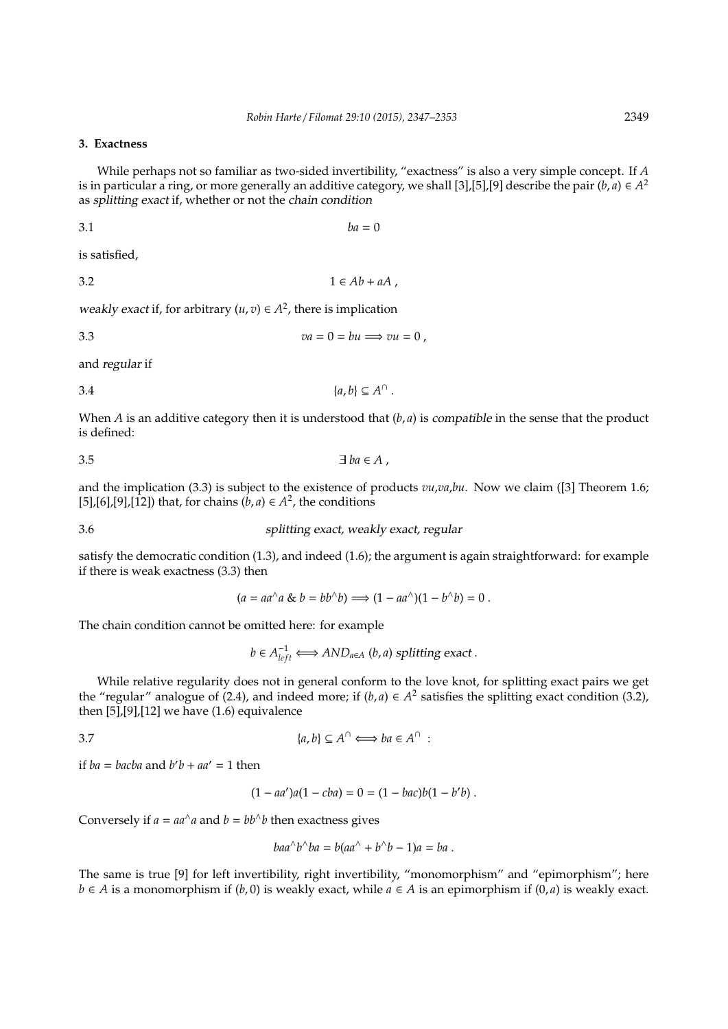## **3. Exactness**

While perhaps not so familiar as two-sided invertibility, "exactness" is also a very simple concept. If *A* is in particular a ring, or more generally an additive category, we shall [3],[5],[9] describe the pair (*b*, *a*)  $\in$   $A^2$ as splitting exact if, whether or not the chain condition

$$
ba = 0
$$

is satisfied,

3.2  $1 \in Ab + aA$ ,

weakly exact if, for arbitrary  $(u, v) \in A^2$ , there is implication

$$
va = 0 = bu \Longrightarrow vu = 0,
$$

and regular if

$$
\{a,b\} \subseteq A^{\cap}.
$$

When  $A$  is an additive category then it is understood that  $(b, a)$  is *compatible* in the sense that the product is defined:

$$
\exists ba \in A ,
$$

and the implication (3.3) is subject to the existence of products *vu*,*va*,*bu*. Now we claim ([3] Theorem 1.6; [5],[6],[9],[12]) that, for chains  $(b, a) \in A^2$ , the conditions

3.6 splitting exact, weakly exact, regular

satisfy the democratic condition (1.3), and indeed (1.6); the argument is again straightforward: for example if there is weak exactness (3.3) then

 $(a = aa^{\wedge} a \& b = bb^{\wedge} b$   $\implies (1 - aa^{\wedge})(1 - b^{\wedge} b) = 0$ .

The chain condition cannot be omitted here: for example

*b* ∈  $A_{left}^{-1}$   $\Longleftrightarrow AND_{a \in A}$  (*b*, *a*) splitting exact .

While relative regularity does not in general conform to the love knot, for splitting exact pairs we get the "regular" analogue of (2.4), and indeed more; if  $(b, a) \in A^2$  satisfies the splitting exact condition (3.2), then  $[5]$ , $[9]$ , $[12]$  we have  $(1.6)$  equivalence

3.7  ${a,b} \subseteq A^{\cap} \Longleftrightarrow ba \in A^{\cap}$ :

if *ba* = *bacba* and  $b'b + aa' = 1$  then

 $(1 - aa')a(1 - cba) = 0 = (1 - bac)b(1 - b'b).$ 

Conversely if  $a = aa^{\wedge}a$  and  $b = bb^{\wedge}b$  then exactness gives

$$
baa^{\wedge}b^{\wedge}ba = b(aa^{\wedge} + b^{\wedge}b - 1)a = ba.
$$

The same is true [9] for left invertibility, right invertibility, "monomorphism" and "epimorphism"; here *b* ∈ *A* is a monomorphism if (*b*, 0) is weakly exact, while *a* ∈ *A* is an epimorphism if (0, *a*) is weakly exact.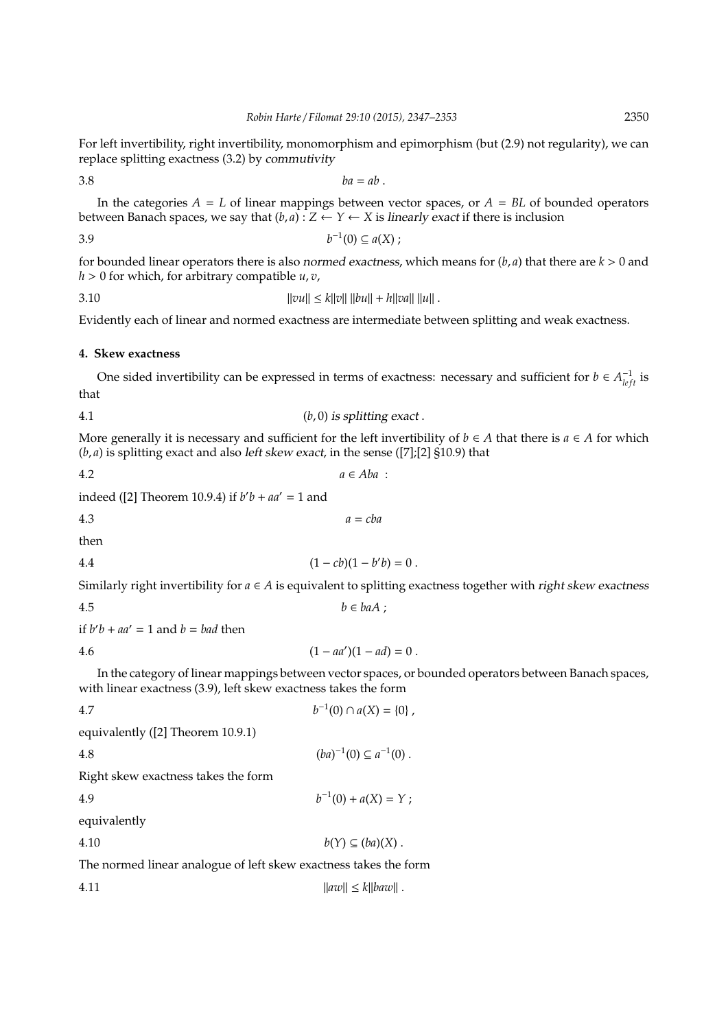For left invertibility, right invertibility, monomorphism and epimorphism (but (2.9) not regularity), we can replace splitting exactness (3.2) by commutivity

$$
3.8\phantom{}
$$

$$
ba = ab.
$$

In the categories  $A = L$  of linear mappings between vector spaces, or  $A = BL$  of bounded operators between Banach spaces, we say that  $(b, a)$  :  $Z \leftarrow Y \leftarrow X$  is *linearly exact* if there is inclusion

$$
3.9 \t\t b^{-1}(0) \subseteq a(X) ;
$$

for bounded linear operators there is also *normed exactness*, which means for  $(b, a)$  that there are  $k > 0$  and  $h > 0$  for which, for arbitrary compatible  $u, v$ ,

$$
||vu|| \le k||v|| ||bu|| + h||va|| ||u||.
$$

Evidently each of linear and normed exactness are intermediate between splitting and weak exactness.

## **4. Skew exactness**

One sided invertibility can be expressed in terms of exactness: necessary and sufficient for  $b \in A_{left}^{-1}$  is that

4.1 
$$
(b, 0)
$$
 is splitting exact.

More generally it is necessary and sufficient for the left invertibility of  $b \in A$  that there is  $a \in A$  for which (*b*, *a*) is splitting exact and also left skew exact, in the sense ([7];[2] §10.9) that

$$
a \in Aba
$$

indeed ([2] Theorem 10.9.4) if  $b'b + aa' = 1$  and

$$
a = cba
$$

then

4.4 
$$
(1 - cb)(1 - b'b) = 0.
$$

Similarly right invertibility for  $a \in A$  is equivalent to splitting exactness together with right skew exactness

$$
4.5 \t\t b \in baA ;
$$

if  $b'b + aa' = 1$  and  $b = bad$  then

$$
(1 - aa')(1 - ad) = 0.
$$

In the category of linear mappings between vector spaces, or bounded operators between Banach spaces, with linear exactness (3.9), left skew exactness takes the form

 $a^{-1}(0) + a(X) = Y;$ 

4.7 
$$
b^{-1}(0) \cap a(X) = \{0\},
$$
 equivalently ([2] Theorem 10.9.1)  
4.8 
$$
(ba)^{-1}(0) \subseteq a^{-1}(0).
$$
Right skew exactness takes the form

4.9 *b*

equivalently

4.10  $b(Y) \subseteq (ba)(X)$ .

The normed linear analogue of left skew exactness takes the form

$$
||av|| \le k||baw||.
$$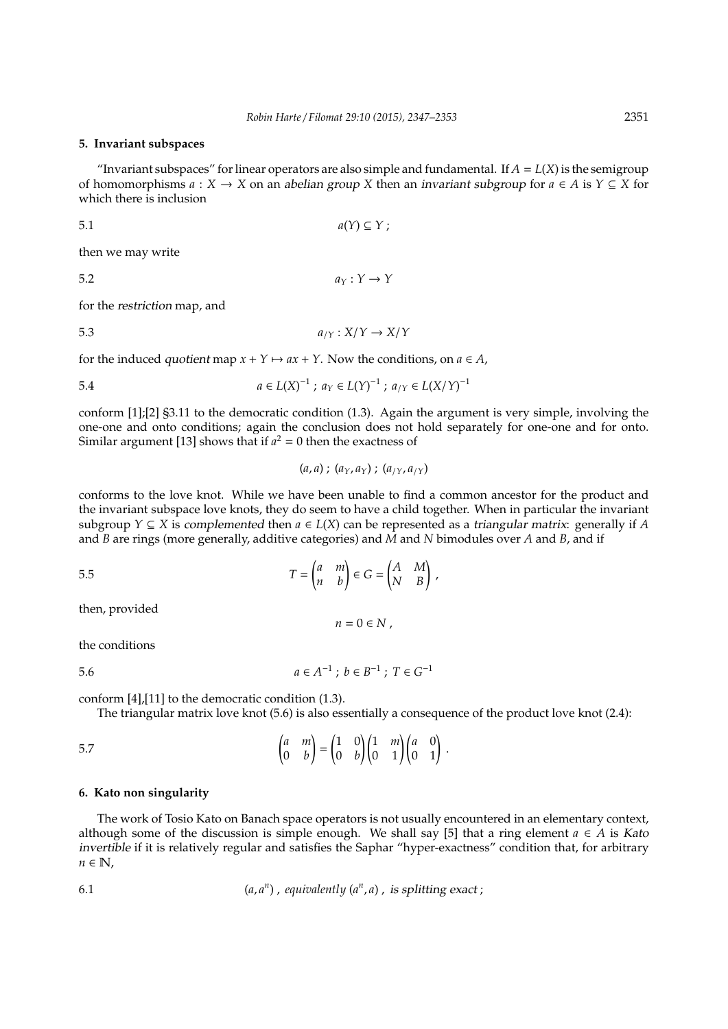#### **5. Invariant subspaces**

"Invariant subspaces" for linear operators are also simple and fundamental. If  $A = L(X)$  is the semigroup of homomorphisms  $a : X \to X$  on an abelian group X then an invariant subgroup for  $a \in A$  is  $Y \subseteq X$  for which there is inclusion

$$
a(Y) \subseteq Y ;
$$

then we may write

5.2  $a_Y: Y \to Y$ 

for the restriction map, and

5.3 
$$
a_{/Y}: X/Y \to X/Y
$$

for the induced *quotient* map  $x + Y \mapsto ax + Y$ . Now the conditions, on  $a \in A$ ,

5.4 
$$
a \in L(X)^{-1}
$$
;  $a_Y \in L(Y)^{-1}$ ;  $a_{/Y} \in L(X/Y)^{-1}$ 

conform [1];[2] §3.11 to the democratic condition (1.3). Again the argument is very simple, involving the one-one and onto conditions; again the conclusion does not hold separately for one-one and for onto. Similar argument [13] shows that if  $a^2 = 0$  then the exactness of

$$
(a, a)
$$
;  $(a_Y, a_Y)$ ;  $(a_{/Y}, a_{/Y})$ 

conforms to the love knot. While we have been unable to find a common ancestor for the product and the invariant subspace love knots, they do seem to have a child together. When in particular the invariant subgroup *Y*  $\subseteq$  *X* is complemented then  $a \in L(X)$  can be represented as a triangular matrix: generally if *A* and *B* are rings (more generally, additive categories) and *M* and *N* bimodules over *A* and *B*, and if

$$
T = \begin{pmatrix} a & m \\ n & b \end{pmatrix} \in G = \begin{pmatrix} A & M \\ N & B \end{pmatrix} \,,
$$

then, provided

$$
n=0\in N\;,
$$

the conditions

5.6 
$$
a \in A^{-1}
$$
;  $b \in B^{-1}$ ;  $T \in G^{-1}$ 

conform [4],[11] to the democratic condition (1.3).

The triangular matrix love knot (5.6) is also essentially a consequence of the product love knot (2.4):

$$
\begin{pmatrix} a & m \\ 0 & b \end{pmatrix} = \begin{pmatrix} 1 & 0 \\ 0 & b \end{pmatrix} \begin{pmatrix} 1 & m \\ 0 & 1 \end{pmatrix} \begin{pmatrix} a & 0 \\ 0 & 1 \end{pmatrix}.
$$

## **6. Kato non singularity**

The work of Tosio Kato on Banach space operators is not usually encountered in an elementary context, although some of the discussion is simple enough. We shall say [5] that a ring element  $a \in A$  is Kato invertible if it is relatively regular and satisfies the Saphar "hyper-exactness" condition that, for arbitrary  $n \in \mathbb{N}$ ,

6.1 
$$
(a, a^n)
$$
, equivalently  $(a^n, a)$ , is splitting exact;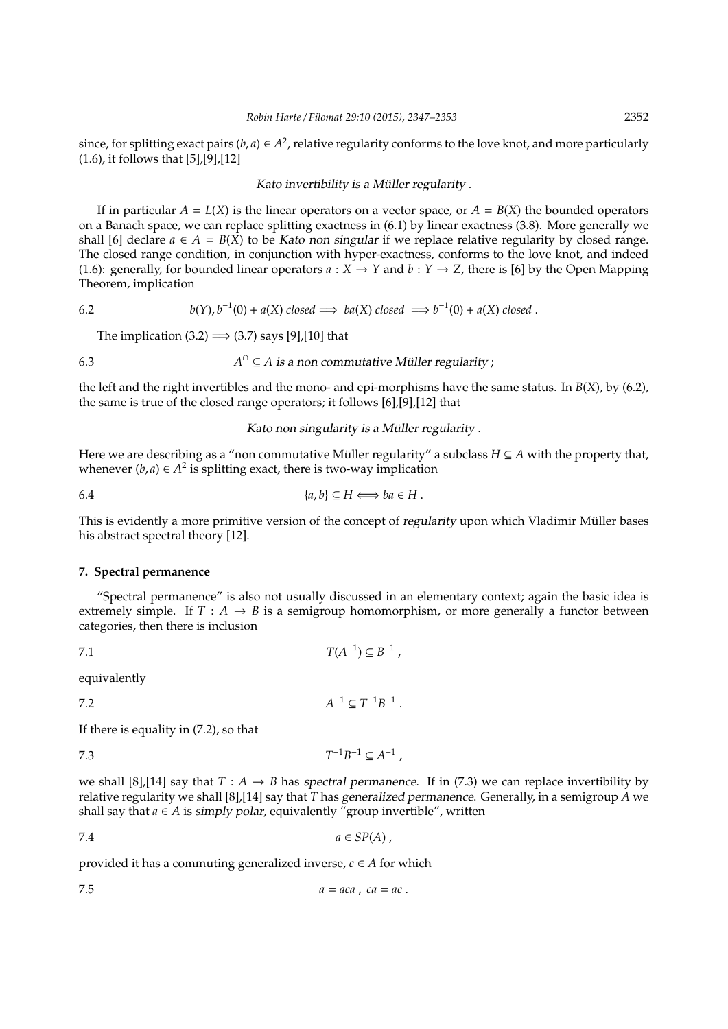since, for splitting exact pairs  $(b, a) \in A^2$ , relative regularity conforms to the love knot, and more particularly (1.6), it follows that [5],[9],[12]

#### Kato invertibility is a Müller regularity.

If in particular  $A = L(X)$  is the linear operators on a vector space, or  $A = B(X)$  the bounded operators on a Banach space, we can replace splitting exactness in (6.1) by linear exactness (3.8). More generally we shall [6] declare  $a \in A = B(X)$  to be Kato non singular if we replace relative regularity by closed range. The closed range condition, in conjunction with hyper-exactness, conforms to the love knot, and indeed (1.6): generally, for bounded linear operators  $a: X \to Y$  and  $b: Y \to Z$ , there is [6] by the Open Mapping Theorem, implication

6.2 
$$
b(Y), b^{-1}(0) + a(X) \text{ closed} \implies ba(X) \text{ closed} \implies b^{-1}(0) + a(X) \text{ closed}.
$$

The implication  $(3.2) \implies (3.7)$  says [9],[10] that

6.3 *A*  $A^{\cap} \subseteq A$  is a non commutative Müller regularity ;

the left and the right invertibles and the mono- and epi-morphisms have the same status. In *B*(*X*), by (6.2), the same is true of the closed range operators; it follows [6],[9],[12] that

Kato non singularity is a Müller regularity .

Here we are describing as a "non commutative Müller regularity" a subclass  $H \subseteq A$  with the property that, whenever  $(b, a) \in A^2$  is splitting exact, there is two-way implication

$$
\{a,b\} \subseteq H \Longleftrightarrow ba \in H.
$$

This is evidently a more primitive version of the concept of regularity upon which Vladimir Müller bases his abstract spectral theory [12].

#### **7. Spectral permanence**

"Spectral permanence" is also not usually discussed in an elementary context; again the basic idea is extremely simple. If  $T : A \rightarrow B$  is a semigroup homomorphism, or more generally a functor between categories, then there is inclusion

$$
T(A^{-1}) \subseteq B^{-1},
$$

equivalently

7.2 *A*  $^{-1} \subseteq T^{-1}B^{-1}$  .

If there is equality in (7.2), so that

7.3 *T*  $a^{-1}B^{-1} \subseteq A^{-1}$ ,

we shall [8],[14] say that  $T : A \rightarrow B$  has spectral permanence. If in (7.3) we can replace invertibility by relative regularity we shall [8],[14] say that *T* has generalized permanence. Generally, in a semigroup *A* we shall say that  $a \in A$  is simply polar, equivalently "group invertible", written

$$
7.4 \t a \in SP(A)
$$

provided it has a commuting generalized inverse,  $c \in A$  for which

$$
a = aca, ca = ac.
$$